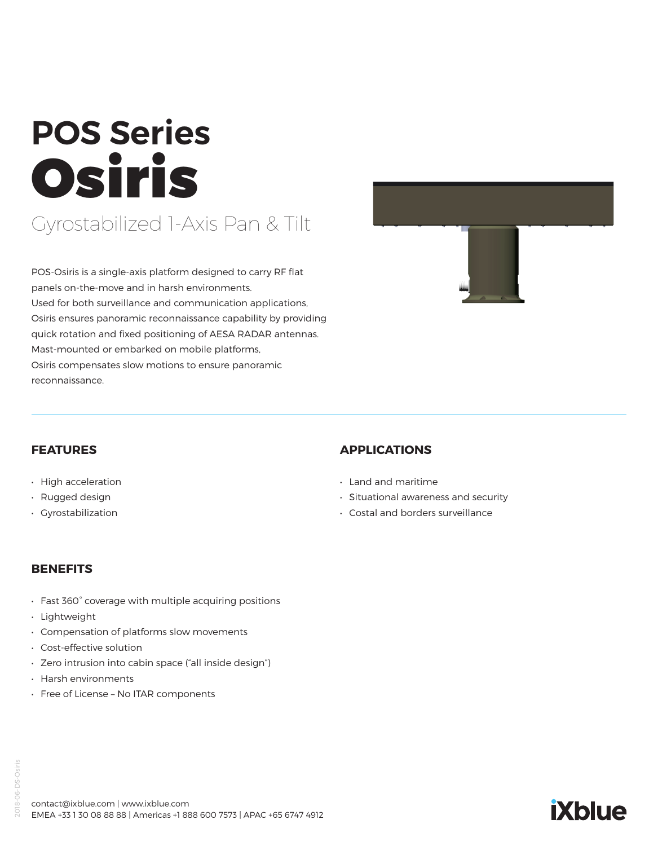# **POS Series** Osiris Gyrostabilized 1-Axis Pan & Tilt

POS-Osiris is a single-axis platform designed to carry RF flat panels on-the-move and in harsh environments. Used for both surveillance and communication applications, Osiris ensures panoramic reconnaissance capability by providing quick rotation and fixed positioning of AESA RADAR antennas. Mast-mounted or embarked on mobile platforms,

Osiris compensates slow motions to ensure panoramic reconnaissance.



**iXblue** 

#### **FEATURES**

- High acceleration
- Rugged design
- Gyrostabilization

#### **APPLICATIONS**

- Land and maritime
- Situational awareness and security
- Costal and borders surveillance

#### **BENEFITS**

- Fast 360° coverage with multiple acquiring positions
- Lightweight
- Compensation of platforms slow movements
- Cost-effective solution
- Zero intrusion into cabin space ("all inside design")
- Harsh environments
- Free of License No ITAR components